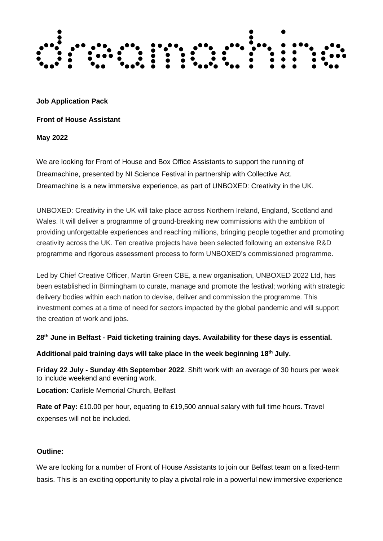

**Job Application Pack**

**Front of House Assistant**

**May 2022**

We are looking for Front of House and Box Office Assistants to support the running of Dreamachine, presented by NI Science Festival in partnership with Collective Act. Dreamachine is a new immersive experience, as part of UNBOXED: Creativity in the UK.

UNBOXED: Creativity in the UK will take place across Northern Ireland, England, Scotland and Wales. It will deliver a programme of ground-breaking new commissions with the ambition of providing unforgettable experiences and reaching millions, bringing people together and promoting creativity across the UK. Ten creative projects have been selected following an extensive R&D programme and rigorous assessment process to form UNBOXED's commissioned programme.

Led by Chief Creative Officer, Martin Green CBE, a new organisation, UNBOXED 2022 Ltd, has been established in Birmingham to curate, manage and promote the festival; working with strategic delivery bodies within each nation to devise, deliver and commission the programme. This investment comes at a time of need for sectors impacted by the global pandemic and will support the creation of work and jobs.

**28th June in Belfast - Paid ticketing training days. Availability for these days is essential.**

**Additional paid training days will take place in the week beginning 18 th July.**

**Friday 22 July - Sunday 4th September 2022**. Shift work with an average of 30 hours per week to include weekend and evening work.

**Location:** Carlisle Memorial Church, Belfast

**Rate of Pay:** £10.00 per hour, equating to £19,500 annual salary with full time hours. Travel expenses will not be included.

### **Outline:**

We are looking for a number of Front of House Assistants to join our Belfast team on a fixed-term basis. This is an exciting opportunity to play a pivotal role in a powerful new immersive experience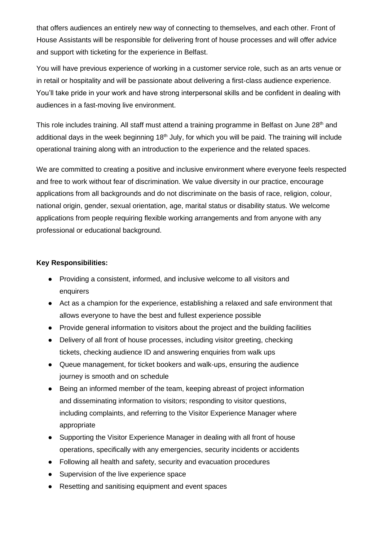that offers audiences an entirely new way of connecting to themselves, and each other. Front of House Assistants will be responsible for delivering front of house processes and will offer advice and support with ticketing for the experience in Belfast.

You will have previous experience of working in a customer service role, such as an arts venue or in retail or hospitality and will be passionate about delivering a first-class audience experience. You'll take pride in your work and have strong interpersonal skills and be confident in dealing with audiences in a fast-moving live environment.

This role includes training. All staff must attend a training programme in Belfast on June 28<sup>th</sup> and additional days in the week beginning 18<sup>th</sup> July, for which you will be paid. The training will include operational training along with an introduction to the experience and the related spaces.

We are committed to creating a positive and inclusive environment where everyone feels respected and free to work without fear of discrimination. We value diversity in our practice, encourage applications from all backgrounds and do not discriminate on the basis of race, religion, colour, national origin, gender, sexual orientation, age, marital status or disability status. We welcome applications from people requiring flexible working arrangements and from anyone with any professional or educational background.

### **Key Responsibilities:**

- Providing a consistent, informed, and inclusive welcome to all visitors and enquirers
- Act as a champion for the experience, establishing a relaxed and safe environment that allows everyone to have the best and fullest experience possible
- Provide general information to visitors about the project and the building facilities
- Delivery of all front of house processes, including visitor greeting, checking tickets, checking audience ID and answering enquiries from walk ups
- Queue management, for ticket bookers and walk-ups, ensuring the audience journey is smooth and on schedule
- Being an informed member of the team, keeping abreast of project information and disseminating information to visitors; responding to visitor questions, including complaints, and referring to the Visitor Experience Manager where appropriate
- Supporting the Visitor Experience Manager in dealing with all front of house operations, specifically with any emergencies, security incidents or accidents
- Following all health and safety, security and evacuation procedures
- Supervision of the live experience space
- Resetting and sanitising equipment and event spaces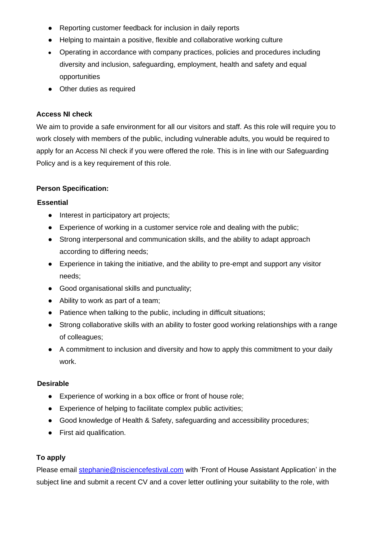- Reporting customer feedback for inclusion in daily reports
- Helping to maintain a positive, flexible and collaborative working culture
- Operating in accordance with company practices, policies and procedures including diversity and inclusion, safeguarding, employment, health and safety and equal opportunities
- Other duties as required

# **Access NI check**

We aim to provide a safe environment for all our visitors and staff. As this role will require you to work closely with members of the public, including vulnerable adults, you would be required to apply for an Access NI check if you were offered the role. This is in line with our Safeguarding Policy and is a key requirement of this role.

# **Person Specification:**

## **Essential**

- Interest in participatory art projects;
- Experience of working in a customer service role and dealing with the public;
- Strong interpersonal and communication skills, and the ability to adapt approach according to differing needs;
- Experience in taking the initiative, and the ability to pre-empt and support any visitor needs;
- Good organisational skills and punctuality;
- Ability to work as part of a team;
- Patience when talking to the public, including in difficult situations;
- Strong collaborative skills with an ability to foster good working relationships with a range of colleagues;
- A commitment to inclusion and diversity and how to apply this commitment to your daily work.

### **Desirable**

- Experience of working in a box office or front of house role;
- Experience of helping to facilitate complex public activities;
- Good knowledge of Health & Safety, safeguarding and accessibility procedures;
- First aid qualification.

# **To apply**

Please email [stephanie@nisciencefestival.com](mailto:stephanie@nisciencefestival.com) with 'Front of House Assistant Application' in the subject line and submit a recent CV and a cover letter outlining your suitability to the role, with